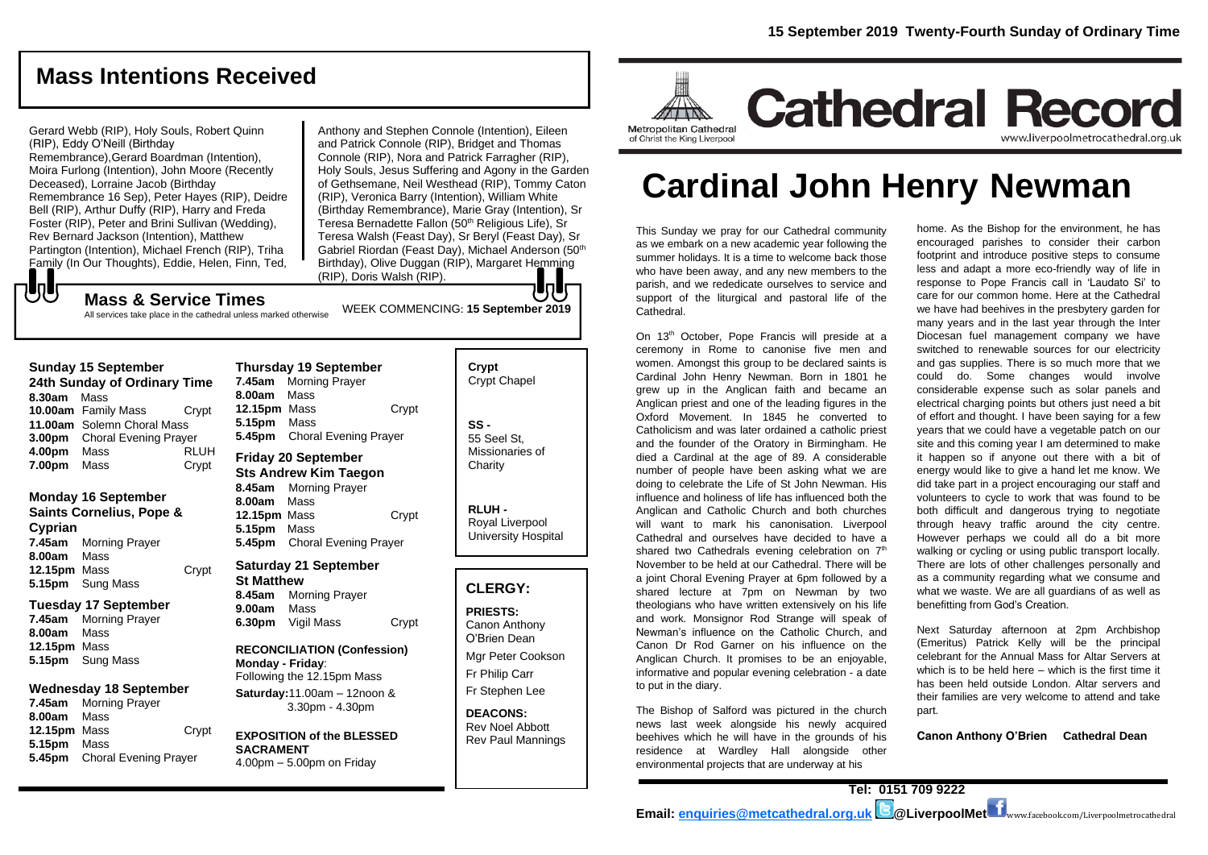# **Mass Intentions Received**

Gerard Webb (RIP), Holy Souls, Robert Quinn (RIP), Eddy O'Neill (Birthday Remembrance),Gerard Boardman (Intention), Moira Furlong (Intention), John Moore (Recently Deceased), Lorraine Jacob (Birthday Remembrance 16 Sep), Peter Hayes (RIP), Deidre Bell (RIP), Arthur Duffy (RIP), Harry and Freda Foster (RIP), Peter and Brini Sullivan (Wedding), Rev Bernard Jackson (Intention), Matthew Partington (Intention), Michael French (RIP), Triha Family (In Our Thoughts), Eddie, Helen, Finn, Ted,

Anthony and Stephen Connole (Intention), Eileen and Patrick Connole (RIP), Bridget and Thomas Connole (RIP), Nora and Patrick Farragher (RIP), Holy Souls, Jesus Suffering and Agony in the Garden of Gethsemane, Neil Westhead (RIP), Tommy Caton (RIP), Veronica Barry (Intention), William White (Birthday Remembrance), Marie Gray (Intention), Sr Teresa Bernadette Fallon (50<sup>th</sup> Religious Life), Sr Teresa Walsh (Feast Day), Sr Beryl (Feast Day), Sr Gabriel Riordan (Feast Day), Michael Anderson (50th Birthday), Olive Duggan (RIP), Margaret Hemming (RIP), Doris Walsh (RIP).

WEEK COMMENCING: **15 September 2019**

## もし **Mass & Service Times**

All services take place in the cathedral unless marked otherwise

### **Sunday 15 September**

**24th Sunday of Ordinary Time 8.30am** Mass **10.00am** Family Mass Crypt **11.00am** Solemn Choral Mass **3.00pm** Choral Evening Prayer **4.00pm** Mass RLUH **7.00pm** Mass Crypt

### **Monday 16 September**

**Saints Cornelius, Pope & Cyprian 7.45am** Morning Prayer **8.00am** Mass **12.15pm** Mass Crypt **5.15pm** Sung Mass

### **Tuesday 17 September**

**7.45am** Morning Prayer **8.00am** Mass **12.15pm** Mass **5.15pm** Sung Mass

### **Wednesday 18 September**

**7.45am** Morning Prayer **8.00am** Mass **12.15pm** Mass Crypt **5.15pm** Mass **5.45pm** Choral Evening Prayer

### **Thursday 19 September 7.45am** Morning Prayer **8.00am** Mass **12.15pm** Mass Crypt **5.15pm** Mass **5.45pm** Choral Evening Prayer **Friday 20 September Sts Andrew Kim Taegon**

**8.45am** Morning Prayer **8.00am** Mass **12.15pm** Mass Crypt **5.15pm** Mass **5.45pm** Choral Evening Prayer

### **Saturday 21 September St Matthew**

**8.45am** Morning Prayer **9.00am** Mass **6.30pm** Vigil Mass Crypt

### **RECONCILIATION (Confession) Monday - Friday**: Following the 12.15pm Mass **Saturday:**11.00am – 12noon &

3.30pm - 4.30pm

#### **EXPOSITION of the BLESSED SACRAMENT** 4.00pm – 5.00pm on Friday

**Crypt**  Crypt Chapel **SS -** 55 Seel St, Missionaries of **Charity** 

> **RLUH -** Royal Liverpool University Hospital

## **CLERGY:**

**PRIESTS:** Canon Anthony O'Brien *Dean*

Mgr Peter Cookson Fr Philip Carr Fr Stephen Lee

**DEACONS:** Rev Noel Abbott Rev Paul Mannings



# **Cardinal John Henry Newman**

This Sunday we pray for our Cathedral community as we embark on a new academic year following the summer holidays. It is a time to welcome back those who have been away, and any new members to the parish, and we rededicate ourselves to service and support of the liturgical and pastoral life of the Cathedral.

On 13th October, Pope Francis will preside at a ceremony in Rome to canonise five men and women. Amongst this group to be declared saints is Cardinal John Henry Newman. Born in 1801 he grew up in the Anglican faith and became an Anglican priest and one of the leading figures in the Oxford Movement. In 1845 he converted to Catholicism and was later ordained a catholic priest and the founder of the Oratory in Birmingham. He died a Cardinal at the age of 89. A considerable number of people have been asking what we are doing to celebrate the Life of St John Newman. His influence and holiness of life has influenced both the Anglican and Catholic Church and both churches will want to mark his canonisation. Liverpool Cathedral and ourselves have decided to have a shared two Cathedrals evening celebration on 7<sup>th</sup> November to be held at our Cathedral. There will be a joint Choral Evening Prayer at 6pm followed by a shared lecture at 7pm on Newman by two theologians who have written extensively on his life and work. Monsignor Rod Strange will speak of Newman's influence on the Catholic Church, and Canon Dr Rod Garner on his influence on the Anglican Church. It promises to be an enjoyable, informative and popular evening celebration - a date to put in the diary.

The Bishop of Salford was pictured in the church news last week alongside his newly acquired beehives which he will have in the grounds of his residence at Wardley Hall alongside other environmental projects that are underway at his

home. As the Bishop for the environment, he has encouraged parishes to consider their carbon footprint and introduce positive steps to consume less and adapt a more eco-friendly way of life in response to Pope Francis call in 'Laudato Si' to care for our common home. Here at the Cathedral we have had beehives in the presbytery garden for many years and in the last year through the Inter Diocesan fuel management company we have switched to renewable sources for our electricity and gas supplies. There is so much more that we could do. Some changes would involve considerable expense such as solar panels and electrical charging points but others just need a bit of effort and thought. I have been saying for a few years that we could have a vegetable patch on our site and this coming year I am determined to make it happen so if anyone out there with a bit of energy would like to give a hand let me know. We did take part in a project encouraging our staff and volunteers to cycle to work that was found to be both difficult and dangerous trying to negotiate through heavy traffic around the city centre. However perhaps we could all do a bit more walking or cycling or using public transport locally. There are lots of other challenges personally and as a community regarding what we consume and what we waste. We are all guardians of as well as benefitting from God's Creation.

Next Saturday afternoon at 2pm Archbishop (Emeritus) Patrick Kelly will be the principal celebrant for the Annual Mass for Altar Servers at which is to be held here – which is the first time it has been held outside London. Altar servers and their families are very welcome to attend and take part.

**Canon Anthony O'Brien Cathedral Dean**